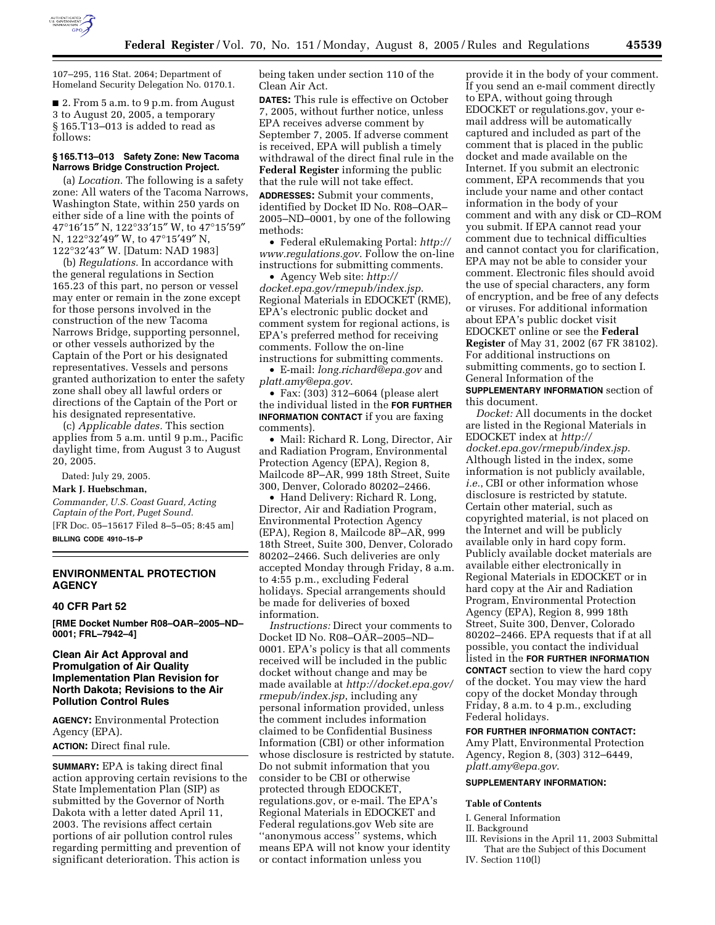

107–295, 116 Stat. 2064; Department of Homeland Security Delegation No. 0170.1.

■ 2. From 5 a.m. to 9 p.m. from August 3 to August 20, 2005, a temporary § 165.T13–013 is added to read as follows:

## **§ 165.T13–013 Safety Zone: New Tacoma Narrows Bridge Construction Project.**

(a) *Location.* The following is a safety zone: All waters of the Tacoma Narrows, Washington State, within 250 yards on either side of a line with the points of 47°16′15″ N, 122°33′15″ W, to 47°15′59″ N, 122°32′49″ W, to 47°15′49″ N, 122°32′43″ W. [Datum: NAD 1983]

(b) *Regulations.* In accordance with the general regulations in Section 165.23 of this part, no person or vessel may enter or remain in the zone except for those persons involved in the construction of the new Tacoma Narrows Bridge, supporting personnel, or other vessels authorized by the Captain of the Port or his designated representatives. Vessels and persons granted authorization to enter the safety zone shall obey all lawful orders or directions of the Captain of the Port or his designated representative.

(c) *Applicable dates.* This section applies from 5 a.m. until 9 p.m., Pacific daylight time, from August 3 to August 20, 2005.

Dated: July 29, 2005.

### **Mark J. Huebschman,**

*Commander, U.S. Coast Guard, Acting Captain of the Port, Puget Sound.* [FR Doc. 05–15617 Filed 8–5–05; 8:45 am]

**BILLING CODE 4910–15–P**

# **ENVIRONMENTAL PROTECTION AGENCY**

### **40 CFR Part 52**

**[RME Docket Number R08–OAR–2005–ND– 0001; FRL–7942–4]** 

# **Clean Air Act Approval and Promulgation of Air Quality Implementation Plan Revision for North Dakota; Revisions to the Air Pollution Control Rules**

**AGENCY:** Environmental Protection Agency (EPA).

**ACTION:** Direct final rule.

**SUMMARY:** EPA is taking direct final action approving certain revisions to the State Implementation Plan (SIP) as submitted by the Governor of North Dakota with a letter dated April 11, 2003. The revisions affect certain portions of air pollution control rules regarding permitting and prevention of significant deterioration. This action is

being taken under section 110 of the Clean Air Act.

**DATES:** This rule is effective on October 7, 2005, without further notice, unless EPA receives adverse comment by September 7, 2005. If adverse comment is received, EPA will publish a timely withdrawal of the direct final rule in the **Federal Register** informing the public that the rule will not take effect. **ADDRESSES:** Submit your comments, identified by Docket ID No. R08–OAR– 2005–ND–0001, by one of the following methods:

• Federal eRulemaking Portal: *http:// www.regulations.gov*. Follow the on-line instructions for submitting comments.

• Agency Web site: *http:// docket.epa.gov/rmepub/index.jsp*. Regional Materials in EDOCKET (RME), EPA's electronic public docket and comment system for regional actions, is EPA's preferred method for receiving comments. Follow the on-line instructions for submitting comments.

• E-mail: *long.richard@epa.gov* and *platt.amy@epa.gov*.

• Fax: (303) 312–6064 (please alert the individual listed in the **FOR FURTHER INFORMATION CONTACT** if you are faxing comments).

• Mail: Richard R. Long, Director, Air and Radiation Program, Environmental Protection Agency (EPA), Region 8, Mailcode 8P–AR, 999 18th Street, Suite 300, Denver, Colorado 80202–2466.

• Hand Delivery: Richard R. Long, Director, Air and Radiation Program, Environmental Protection Agency (EPA), Region 8, Mailcode 8P–AR, 999 18th Street, Suite 300, Denver, Colorado 80202–2466. Such deliveries are only accepted Monday through Friday, 8 a.m. to 4:55 p.m., excluding Federal holidays. Special arrangements should be made for deliveries of boxed information.

*Instructions:* Direct your comments to Docket ID No. R08–OAR–2005–ND– 0001. EPA's policy is that all comments received will be included in the public docket without change and may be made available at *http://docket.epa.gov/ rmepub/index.jsp*, including any personal information provided, unless the comment includes information claimed to be Confidential Business Information (CBI) or other information whose disclosure is restricted by statute. Do not submit information that you consider to be CBI or otherwise protected through EDOCKET, regulations.gov, or e-mail. The EPA's Regional Materials in EDOCKET and Federal regulations.gov Web site are "anonymous access" systems, which means EPA will not know your identity or contact information unless you

provide it in the body of your comment. If you send an e-mail comment directly to EPA, without going through EDOCKET or regulations.gov, your email address will be automatically captured and included as part of the comment that is placed in the public docket and made available on the Internet. If you submit an electronic comment, EPA recommends that you include your name and other contact information in the body of your comment and with any disk or CD–ROM you submit. If EPA cannot read your comment due to technical difficulties and cannot contact you for clarification, EPA may not be able to consider your comment. Electronic files should avoid the use of special characters, any form of encryption, and be free of any defects or viruses. For additional information about EPA's public docket visit EDOCKET online or see the **Federal Register** of May 31, 2002 (67 FR 38102). For additional instructions on submitting comments, go to section I. General Information of the **SUPPLEMENTARY INFORMATION** section of this document.

*Docket:* All documents in the docket are listed in the Regional Materials in EDOCKET index at *http:// docket.epa.gov/rmepub/index.jsp*. Although listed in the index, some information is not publicly available, *i.e.*, CBI or other information whose disclosure is restricted by statute. Certain other material, such as copyrighted material, is not placed on the Internet and will be publicly available only in hard copy form. Publicly available docket materials are available either electronically in Regional Materials in EDOCKET or in hard copy at the Air and Radiation Program, Environmental Protection Agency (EPA), Region 8, 999 18th Street, Suite 300, Denver, Colorado 80202–2466. EPA requests that if at all possible, you contact the individual listed in the **FOR FURTHER INFORMATION CONTACT** section to view the hard copy of the docket. You may view the hard copy of the docket Monday through Friday, 8 a.m. to 4 p.m., excluding Federal holidays.

# **FOR FURTHER INFORMATION CONTACT:**

Amy Platt, Environmental Protection Agency, Region 8, (303) 312–6449, *platt.amy@epa.gov*.

### **SUPPLEMENTARY INFORMATION:**

#### **Table of Contents**

I. General Information

- II. Background
- III. Revisions in the April 11, 2003 Submittal That are the Subject of this Document
- IV. Section 110(l)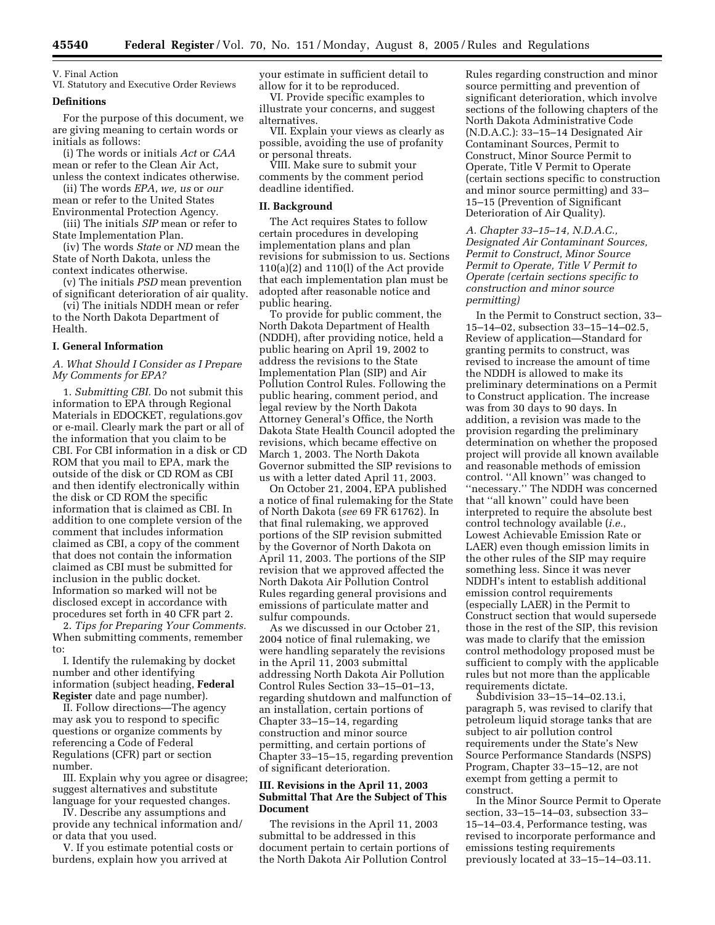# V. Final Action

VI. Statutory and Executive Order Reviews

## **Definitions**

For the purpose of this document, we are giving meaning to certain words or initials as follows:

(i) The words or initials *Act* or *CAA* mean or refer to the Clean Air Act, unless the context indicates otherwise.

(ii) The words *EPA*, *we, us* or *our* mean or refer to the United States

Environmental Protection Agency. (iii) The initials *SIP* mean or refer to

State Implementation Plan. (iv) The words *State* or *ND* mean the

State of North Dakota, unless the context indicates otherwise.

(v) The initials *PSD* mean prevention of significant deterioration of air quality.

(vi) The initials NDDH mean or refer to the North Dakota Department of Health.

### **I. General Information**

# *A. What Should I Consider as I Prepare My Comments for EPA?*

1. *Submitting CBI.* Do not submit this information to EPA through Regional Materials in EDOCKET, regulations.gov or e-mail. Clearly mark the part or all of the information that you claim to be CBI. For CBI information in a disk or CD ROM that you mail to EPA, mark the outside of the disk or CD ROM as CBI and then identify electronically within the disk or CD ROM the specific information that is claimed as CBI. In addition to one complete version of the comment that includes information claimed as CBI, a copy of the comment that does not contain the information claimed as CBI must be submitted for inclusion in the public docket. Information so marked will not be disclosed except in accordance with procedures set forth in 40 CFR part 2.

2. *Tips for Preparing Your Comments.* When submitting comments, remember to:

I. Identify the rulemaking by docket number and other identifying information (subject heading, **Federal Register** date and page number).

II. Follow directions—The agency may ask you to respond to specific questions or organize comments by referencing a Code of Federal Regulations (CFR) part or section number.

III. Explain why you agree or disagree; suggest alternatives and substitute language for your requested changes.

IV. Describe any assumptions and provide any technical information and/ or data that you used.

V. If you estimate potential costs or burdens, explain how you arrived at

your estimate in sufficient detail to allow for it to be reproduced.

VI. Provide specific examples to illustrate your concerns, and suggest alternatives.

VII. Explain your views as clearly as possible, avoiding the use of profanity or personal threats.

VIII. Make sure to submit your comments by the comment period deadline identified.

### **II. Background**

The Act requires States to follow certain procedures in developing implementation plans and plan revisions for submission to us. Sections 110(a)(2) and 110(l) of the Act provide that each implementation plan must be adopted after reasonable notice and public hearing.

To provide for public comment, the North Dakota Department of Health (NDDH), after providing notice, held a public hearing on April 19, 2002 to address the revisions to the State Implementation Plan (SIP) and Air Pollution Control Rules. Following the public hearing, comment period, and legal review by the North Dakota Attorney General's Office, the North Dakota State Health Council adopted the revisions, which became effective on March 1, 2003. The North Dakota Governor submitted the SIP revisions to us with a letter dated April 11, 2003.

On October 21, 2004, EPA published a notice of final rulemaking for the State of North Dakota (*see* 69 FR 61762). In that final rulemaking, we approved portions of the SIP revision submitted by the Governor of North Dakota on April 11, 2003. The portions of the SIP revision that we approved affected the North Dakota Air Pollution Control Rules regarding general provisions and emissions of particulate matter and sulfur compounds.

As we discussed in our October 21, 2004 notice of final rulemaking, we were handling separately the revisions in the April 11, 2003 submittal addressing North Dakota Air Pollution Control Rules Section 33–15–01–13, regarding shutdown and malfunction of an installation, certain portions of Chapter 33–15–14, regarding construction and minor source permitting, and certain portions of Chapter 33–15–15, regarding prevention of significant deterioration.

# **III. Revisions in the April 11, 2003 Submittal That Are the Subject of This Document**

The revisions in the April 11, 2003 submittal to be addressed in this document pertain to certain portions of the North Dakota Air Pollution Control

Rules regarding construction and minor source permitting and prevention of significant deterioration, which involve sections of the following chapters of the North Dakota Administrative Code (N.D.A.C.): 33–15–14 Designated Air Contaminant Sources, Permit to Construct, Minor Source Permit to Operate, Title V Permit to Operate (certain sections specific to construction and minor source permitting) and 33– 15–15 (Prevention of Significant Deterioration of Air Quality).

*A. Chapter 33–15–14, N.D.A.C., Designated Air Contaminant Sources, Permit to Construct, Minor Source Permit to Operate, Title V Permit to Operate (certain sections specific to construction and minor source permitting)* 

In the Permit to Construct section, 33– 15–14–02, subsection 33–15–14–02.5, Review of application—Standard for granting permits to construct, was revised to increase the amount of time the NDDH is allowed to make its preliminary determinations on a Permit to Construct application. The increase was from 30 days to 90 days. In addition, a revision was made to the provision regarding the preliminary determination on whether the proposed project will provide all known available and reasonable methods of emission control. ''All known'' was changed to ''necessary.'' The NDDH was concerned that ''all known'' could have been interpreted to require the absolute best control technology available (*i.e.*, Lowest Achievable Emission Rate or LAER) even though emission limits in the other rules of the SIP may require something less. Since it was never NDDH's intent to establish additional emission control requirements (especially LAER) in the Permit to Construct section that would supersede those in the rest of the SIP, this revision was made to clarify that the emission control methodology proposed must be sufficient to comply with the applicable rules but not more than the applicable requirements dictate.

Subdivision 33–15–14–02.13.i, paragraph 5, was revised to clarify that petroleum liquid storage tanks that are subject to air pollution control requirements under the State's New Source Performance Standards (NSPS) Program, Chapter 33–15–12, are not exempt from getting a permit to construct.

In the Minor Source Permit to Operate section, 33–15–14–03, subsection 33– 15–14–03.4, Performance testing, was revised to incorporate performance and emissions testing requirements previously located at 33–15–14–03.11.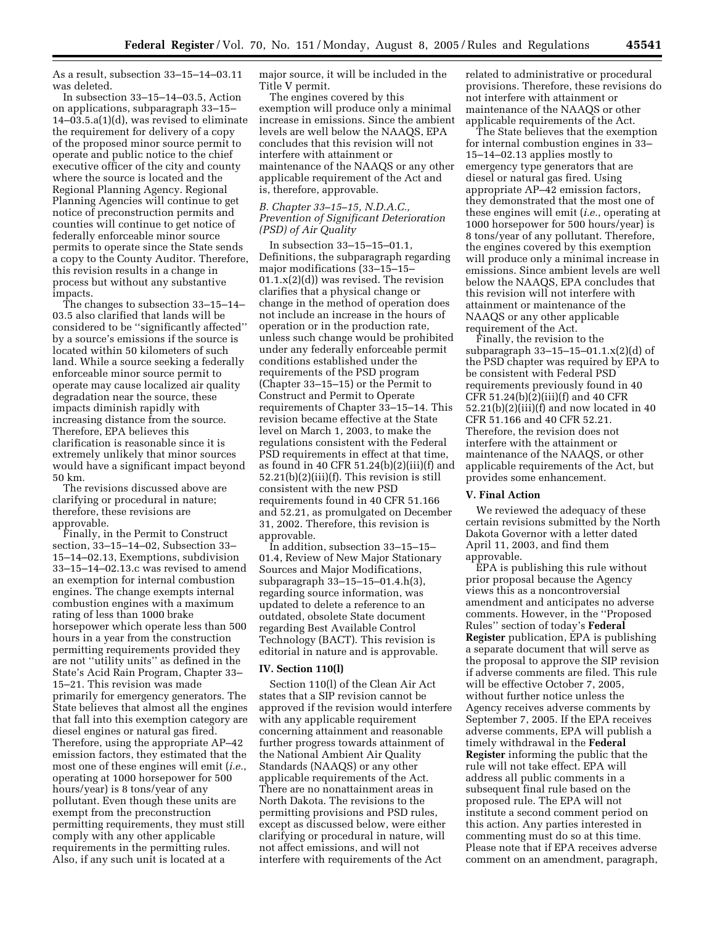As a result, subsection 33–15–14–03.11 was deleted.

In subsection 33–15–14–03.5, Action on applications, subparagraph 33–15– 14–03.5.a(1)(d), was revised to eliminate the requirement for delivery of a copy of the proposed minor source permit to operate and public notice to the chief executive officer of the city and county where the source is located and the Regional Planning Agency. Regional Planning Agencies will continue to get notice of preconstruction permits and counties will continue to get notice of federally enforceable minor source permits to operate since the State sends a copy to the County Auditor. Therefore, this revision results in a change in process but without any substantive impacts.

The changes to subsection 33–15–14– 03.5 also clarified that lands will be considered to be ''significantly affected'' by a source's emissions if the source is located within 50 kilometers of such land. While a source seeking a federally enforceable minor source permit to operate may cause localized air quality degradation near the source, these impacts diminish rapidly with increasing distance from the source. Therefore, EPA believes this clarification is reasonable since it is extremely unlikely that minor sources would have a significant impact beyond 50 km.

The revisions discussed above are clarifying or procedural in nature; therefore, these revisions are approvable.

Finally, in the Permit to Construct section, 33–15–14–02, Subsection 33– 15–14–02.13, Exemptions, subdivision 33–15–14–02.13.c was revised to amend an exemption for internal combustion engines. The change exempts internal combustion engines with a maximum rating of less than 1000 brake horsepower which operate less than 500 hours in a year from the construction permitting requirements provided they are not ''utility units'' as defined in the State's Acid Rain Program, Chapter 33– 15–21. This revision was made primarily for emergency generators. The State believes that almost all the engines that fall into this exemption category are diesel engines or natural gas fired. Therefore, using the appropriate AP–42 emission factors, they estimated that the most one of these engines will emit (*i.e.*, operating at 1000 horsepower for 500 hours/year) is 8 tons/year of any pollutant. Even though these units are exempt from the preconstruction permitting requirements, they must still comply with any other applicable requirements in the permitting rules. Also, if any such unit is located at a

major source, it will be included in the Title V permit.

The engines covered by this exemption will produce only a minimal increase in emissions. Since the ambient levels are well below the NAAQS, EPA concludes that this revision will not interfere with attainment or maintenance of the NAAQS or any other applicable requirement of the Act and is, therefore, approvable.

# *B. Chapter 33–15–15, N.D.A.C., Prevention of Significant Deterioration (PSD) of Air Quality*

In subsection 33–15–15–01.1, Definitions, the subparagraph regarding major modifications (33–15–15–  $01.1.x(2)(d)$  was revised. The revision clarifies that a physical change or change in the method of operation does not include an increase in the hours of operation or in the production rate, unless such change would be prohibited under any federally enforceable permit conditions established under the requirements of the PSD program (Chapter 33–15–15) or the Permit to Construct and Permit to Operate requirements of Chapter 33–15–14. This revision became effective at the State level on March 1, 2003, to make the regulations consistent with the Federal PSD requirements in effect at that time, as found in 40 CFR  $51.24(b)(2)(iii)(f)$  and 52.21(b)(2)(iii)(f). This revision is still consistent with the new PSD requirements found in 40 CFR 51.166 and 52.21, as promulgated on December 31, 2002. Therefore, this revision is approvable.

In addition, subsection 33–15–15– 01.4, Review of New Major Stationary Sources and Major Modifications, subparagraph 33–15–15–01.4.h(3), regarding source information, was updated to delete a reference to an outdated, obsolete State document regarding Best Available Control Technology (BACT). This revision is editorial in nature and is approvable.

## **IV. Section 110(l)**

Section 110(l) of the Clean Air Act states that a SIP revision cannot be approved if the revision would interfere with any applicable requirement concerning attainment and reasonable further progress towards attainment of the National Ambient Air Quality Standards (NAAQS) or any other applicable requirements of the Act. There are no nonattainment areas in North Dakota. The revisions to the permitting provisions and PSD rules, except as discussed below, were either clarifying or procedural in nature, will not affect emissions, and will not interfere with requirements of the Act

related to administrative or procedural provisions. Therefore, these revisions do not interfere with attainment or maintenance of the NAAQS or other applicable requirements of the Act.

The State believes that the exemption for internal combustion engines in 33– 15–14–02.13 applies mostly to emergency type generators that are diesel or natural gas fired. Using appropriate AP–42 emission factors, they demonstrated that the most one of these engines will emit (*i.e.*, operating at 1000 horsepower for 500 hours/year) is 8 tons/year of any pollutant. Therefore, the engines covered by this exemption will produce only a minimal increase in emissions. Since ambient levels are well below the NAAQS, EPA concludes that this revision will not interfere with attainment or maintenance of the NAAQS or any other applicable requirement of the Act.

Finally, the revision to the subparagraph 33–15–15–01.1.x(2)(d) of the PSD chapter was required by EPA to be consistent with Federal PSD requirements previously found in 40 CFR 51.24(b)(2)(iii)(f) and 40 CFR 52.21(b)(2)(iii)(f) and now located in 40 CFR 51.166 and 40 CFR 52.21. Therefore, the revision does not interfere with the attainment or maintenance of the NAAQS, or other applicable requirements of the Act, but provides some enhancement.

### **V. Final Action**

We reviewed the adequacy of these certain revisions submitted by the North Dakota Governor with a letter dated April 11, 2003, and find them approvable.

EPA is publishing this rule without prior proposal because the Agency views this as a noncontroversial amendment and anticipates no adverse comments. However, in the ''Proposed Rules'' section of today's **Federal Register** publication, EPA is publishing a separate document that will serve as the proposal to approve the SIP revision if adverse comments are filed. This rule will be effective October 7, 2005, without further notice unless the Agency receives adverse comments by September 7, 2005. If the EPA receives adverse comments, EPA will publish a timely withdrawal in the **Federal Register** informing the public that the rule will not take effect. EPA will address all public comments in a subsequent final rule based on the proposed rule. The EPA will not institute a second comment period on this action. Any parties interested in commenting must do so at this time. Please note that if EPA receives adverse comment on an amendment, paragraph,